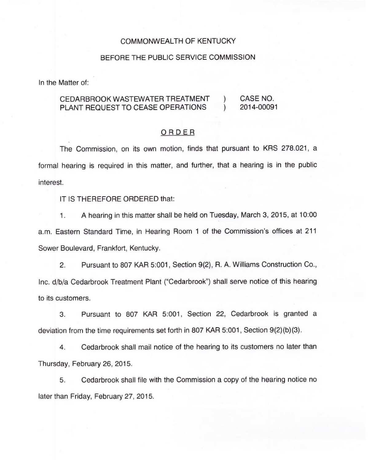### COMMONWEALTH OF KENTUCKY

#### BEFORE THE PUBLIC SERVICE COMMISSION

In the Matter of:

# CEDARBROOK WASTEWATER TREATMENT ) CASE NO.<br>PLANT REQUEST TO CEASE OPERATIONS ) 2014-00091 PLANT REQUEST TO CEASE OPERATIONS

### ORDER

The Commission, on its own motion, finds that pursuant to KRS 278.021, a formal hearing is required in this matter, and further, that a hearing is in the public interest.

## IT IS THEREFORE ORDERED that:

 $1<sup>1</sup>$ A hearing in this matter shall be held on Tuesday, March 3, 2015, at 10:00 a.m. Eastern Standard Time, in Hearing Room <sup>1</sup> of the Commission's offices at 211 Sower Boulevard, Frankfort, Kentucky.

2. Pursuant to 807 KAR 5:001, Section 9(2), R. A. Williams Construction Co., Inc. d/b/a Cedarbrook Treatment Plant ("Cedarbrook") shall serve notice of this hearing to its customers.

3. Pursuant to 807 KAR 5:001, Section 22, Cedarbrook is granted a deviation from the time requirements set forth in 807 KAR 5:001, Section 9(2)(b)(3).

4. Cedarbrook shall mail notice of the hearing to its customers no later than Thursday, February 26, 2015.

5. Cedarbrook shall file with the Commission a copy of the hearing notice no later than Friday, February 27, 2015.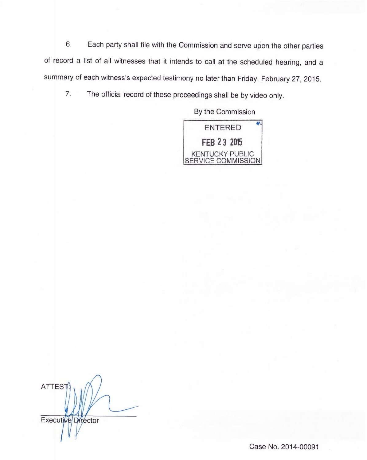6. Each party shall file with the Commission and serve upon the other parties of record a list of all witnesses that it intends to call at the scheduled hearing, and a summary of each witness's expected testimony no later than Friday, February 27, 2015.

7. The official record of these proceedings shall be by video only.

By the Commission



**ATTEST** Executive Director